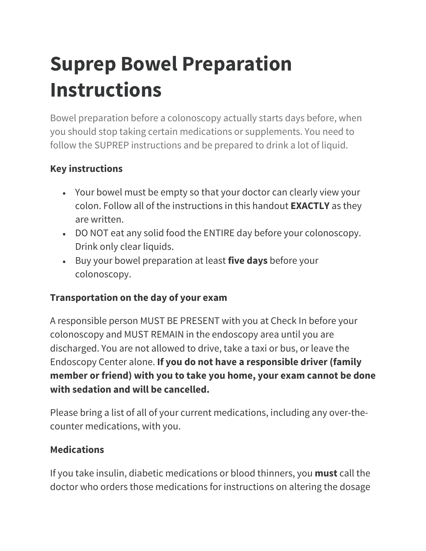# **Suprep Bowel Preparation Instructions**

Bowel preparation before a colonoscopy actually starts days before, when you should stop taking certain medications or supplements. You need to follow the SUPREP instructions and be prepared to drink a lot of liquid.

#### **Key instructions**

- Your bowel must be empty so that your doctor can clearly view your colon. Follow all of the instructions in this handout **EXACTLY** as they are written.
- DO NOT eat any solid food the ENTIRE day before your colonoscopy. Drink only clear liquids.
- Buy your bowel preparation at least **five days** before your colonoscopy.

## **Transportation on the day of your exam**

A responsible person MUST BE PRESENT with you at Check In before your colonoscopy and MUST REMAIN in the endoscopy area until you are discharged. You are not allowed to drive, take a taxi or bus, or leave the Endoscopy Center alone. **If you do not have a responsible driver (family member or friend) with you to take you home, your exam cannot be done with sedation and will be cancelled.**

Please bring a list of all of your current medications, including any over-thecounter medications, with you.

#### **Medications**

If you take insulin, diabetic medications or blood thinners, you **must** call the doctor who orders those medications for instructions on altering the dosage